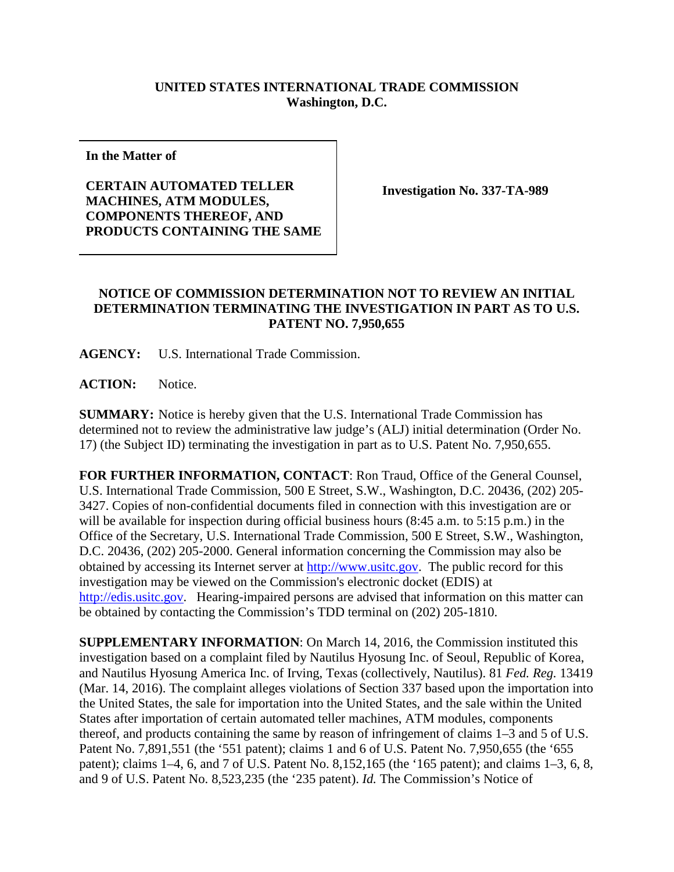## **UNITED STATES INTERNATIONAL TRADE COMMISSION Washington, D.C.**

**In the Matter of**

## **CERTAIN AUTOMATED TELLER MACHINES, ATM MODULES, COMPONENTS THEREOF, AND PRODUCTS CONTAINING THE SAME**

**Investigation No. 337-TA-989**

## **NOTICE OF COMMISSION DETERMINATION NOT TO REVIEW AN INITIAL DETERMINATION TERMINATING THE INVESTIGATION IN PART AS TO U.S. PATENT NO. 7,950,655**

**AGENCY:** U.S. International Trade Commission.

**ACTION:** Notice.

**SUMMARY:** Notice is hereby given that the U.S. International Trade Commission has determined not to review the administrative law judge's (ALJ) initial determination (Order No. 17) (the Subject ID) terminating the investigation in part as to U.S. Patent No. 7,950,655.

**FOR FURTHER INFORMATION, CONTACT**: Ron Traud, Office of the General Counsel, U.S. International Trade Commission, 500 E Street, S.W., Washington, D.C. 20436, (202) 205- 3427. Copies of non-confidential documents filed in connection with this investigation are or will be available for inspection during official business hours (8:45 a.m. to 5:15 p.m.) in the Office of the Secretary, U.S. International Trade Commission, 500 E Street, S.W., Washington, D.C. 20436, (202) 205-2000. General information concerning the Commission may also be obtained by accessing its Internet server at [http://www.usitc.gov.](http://www.usitc.gov/) The public record for this investigation may be viewed on the Commission's electronic docket (EDIS) at [http://edis.usitc.gov.](http://edis.usitc.gov/) Hearing-impaired persons are advised that information on this matter can be obtained by contacting the Commission's TDD terminal on (202) 205-1810.

**SUPPLEMENTARY INFORMATION**: On March 14, 2016, the Commission instituted this investigation based on a complaint filed by Nautilus Hyosung Inc. of Seoul, Republic of Korea, and Nautilus Hyosung America Inc. of Irving, Texas (collectively, Nautilus). 81 *Fed. Reg.* 13419 (Mar. 14, 2016). The complaint alleges violations of Section 337 based upon the importation into the United States, the sale for importation into the United States, and the sale within the United States after importation of certain automated teller machines, ATM modules, components thereof, and products containing the same by reason of infringement of claims 1–3 and 5 of U.S. Patent No. 7,891,551 (the '551 patent); claims 1 and 6 of U.S. Patent No. 7,950,655 (the '655 patent); claims 1–4, 6, and 7 of U.S. Patent No. 8,152,165 (the '165 patent); and claims 1–3, 6, 8, and 9 of U.S. Patent No. 8,523,235 (the '235 patent). *Id.* The Commission's Notice of